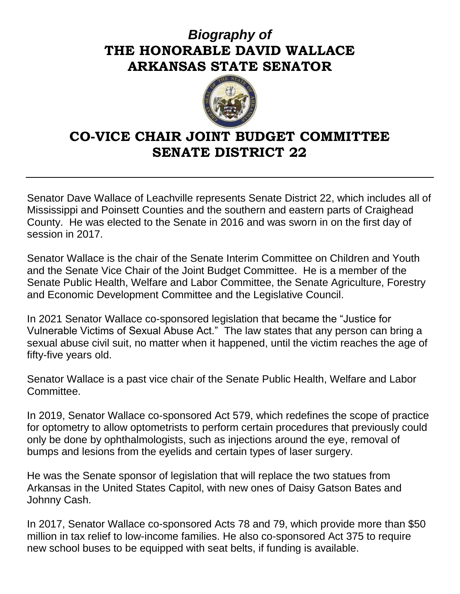## *Biography of* **THE HONORABLE DAVID WALLACE ARKANSAS STATE SENATOR**



## **CO-VICE CHAIR JOINT BUDGET COMMITTEE SENATE DISTRICT 22**

Senator Dave Wallace of Leachville represents Senate District 22, which includes all of Mississippi and Poinsett Counties and the southern and eastern parts of Craighead County. He was elected to the Senate in 2016 and was sworn in on the first day of session in 2017.

Senator Wallace is the chair of the Senate Interim Committee on Children and Youth and the Senate Vice Chair of the Joint Budget Committee. He is a member of the Senate Public Health, Welfare and Labor Committee, the Senate Agriculture, Forestry and Economic Development Committee and the Legislative Council.

In 2021 Senator Wallace co-sponsored legislation that became the "Justice for Vulnerable Victims of Sexual Abuse Act." The law states that any person can bring a sexual abuse civil suit, no matter when it happened, until the victim reaches the age of fifty-five years old.

Senator Wallace is a past vice chair of the Senate Public Health, Welfare and Labor Committee.

In 2019, Senator Wallace co-sponsored Act 579, which redefines the scope of practice for optometry to allow optometrists to perform certain procedures that previously could only be done by ophthalmologists, such as injections around the eye, removal of bumps and lesions from the eyelids and certain types of laser surgery.

He was the Senate sponsor of legislation that will replace the two statues from Arkansas in the United States Capitol, with new ones of Daisy Gatson Bates and Johnny Cash.

In 2017, Senator Wallace co-sponsored Acts 78 and 79, which provide more than \$50 million in tax relief to low-income families. He also co-sponsored Act 375 to require new school buses to be equipped with seat belts, if funding is available.